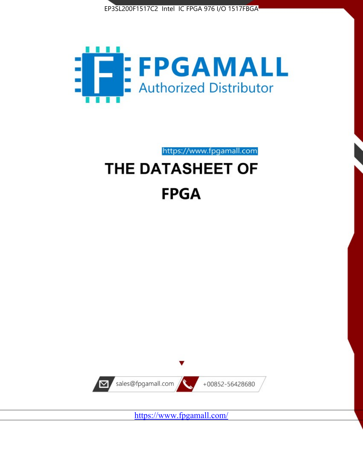



https://www.fpgamall.com

# THE DATASHEET OF **FPGA**



<https://www.fpgamall.com/>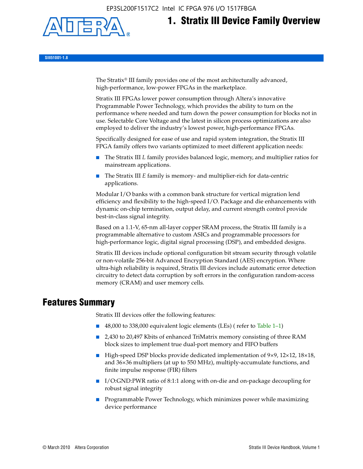EP3SL200F1517C2 Intel IC FPGA 976 I/O 1517FBGA



# **1. Stratix III Device Family Overview**

**SIII51001-1.8**

The Stratix® III family provides one of the most architecturally advanced, high-performance, low-power FPGAs in the marketplace.

Stratix III FPGAs lower power consumption through Altera's innovative Programmable Power Technology, which provides the ability to turn on the performance where needed and turn down the power consumption for blocks not in use. Selectable Core Voltage and the latest in silicon process optimizations are also employed to deliver the industry's lowest power, high-performance FPGAs.

Specifically designed for ease of use and rapid system integration, the Stratix III FPGA family offers two variants optimized to meet different application needs:

- The Stratix III *L* family provides balanced logic, memory, and multiplier ratios for mainstream applications.
- The Stratix III *E* family is memory- and multiplier-rich for data-centric applications.

Modular I/O banks with a common bank structure for vertical migration lend efficiency and flexibility to the high-speed I/O. Package and die enhancements with dynamic on-chip termination, output delay, and current strength control provide best-in-class signal integrity.

Based on a 1.1-V, 65-nm all-layer copper SRAM process, the Stratix III family is a programmable alternative to custom ASICs and programmable processors for high-performance logic, digital signal processing (DSP), and embedded designs.

Stratix III devices include optional configuration bit stream security through volatile or non-volatile 256-bit Advanced Encryption Standard (AES) encryption. Where ultra-high reliability is required, Stratix III devices include automatic error detection circuitry to detect data corruption by soft errors in the configuration random-access memory (CRAM) and user memory cells.

# **Features Summary**

Stratix III devices offer the following features:

- 48,000 to 338,000 equivalent logic elements (LEs) (refer to Table 1–1)
- 2,430 to 20,497 Kbits of enhanced TriMatrix memory consisting of three RAM block sizes to implement true dual-port memory and FIFO buffers
- High-speed DSP blocks provide dedicated implementation of 9×9, 12×12, 18×18, and 36×36 multipliers (at up to 550 MHz), multiply-accumulate functions, and finite impulse response (FIR) filters
- I/O:GND:PWR ratio of 8:1:1 along with on-die and on-package decoupling for robust signal integrity
- Programmable Power Technology, which minimizes power while maximizing device performance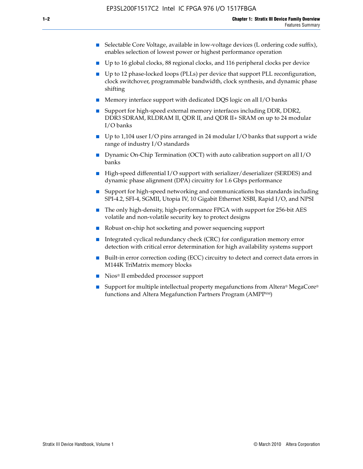- Selectable Core Voltage, available in low-voltage devices (L ordering code suffix), enables selection of lowest power or highest performance operation
- Up to 16 global clocks, 88 regional clocks, and 116 peripheral clocks per device
- Up to 12 phase-locked loops (PLLs) per device that support PLL reconfiguration, clock switchover, programmable bandwidth, clock synthesis, and dynamic phase shifting
- Memory interface support with dedicated DQS logic on all I/O banks
- Support for high-speed external memory interfaces including DDR, DDR2, DDR3 SDRAM, RLDRAM II, QDR II, and QDR II+ SRAM on up to 24 modular I/O banks
- Up to 1,104 user I/O pins arranged in 24 modular I/O banks that support a wide range of industry I/O standards
- Dynamic On-Chip Termination (OCT) with auto calibration support on all  $I/O$ banks
- High-speed differential I/O support with serializer/deserializer (SERDES) and dynamic phase alignment (DPA) circuitry for 1.6 Gbps performance
- Support for high-speed networking and communications bus standards including SPI-4.2, SFI-4, SGMII, Utopia IV, 10 Gigabit Ethernet XSBI, Rapid I/O, and NPSI
- The only high-density, high-performance FPGA with support for 256-bit AES volatile and non-volatile security key to protect designs
- Robust on-chip hot socketing and power sequencing support
- Integrated cyclical redundancy check (CRC) for configuration memory error detection with critical error determination for high availability systems support
- Built-in error correction coding (ECC) circuitry to detect and correct data errors in M144K TriMatrix memory blocks
- Nios<sup>®</sup> II embedded processor support
- Support for multiple intellectual property megafunctions from Altera® MegaCore® functions and Altera Megafunction Partners Program (AMPPSM)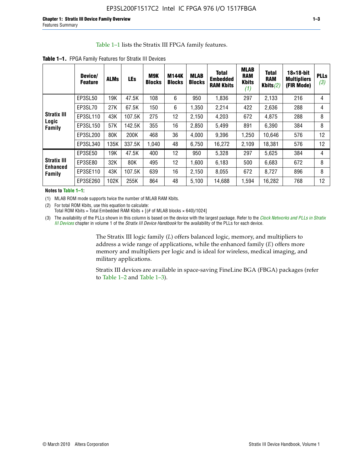#### Table 1–1 lists the Stratix III FPGA family features.

|                                                 | Device/<br><b>Feature</b> | <b>ALMs</b> | <b>LEs</b> | <b>M9K</b><br><b>Blocks</b> | <b>M144K</b><br><b>Blocks</b> | <b>MLAB</b><br><b>Blocks</b> | <b>Total</b><br><b>Embedded</b><br><b>RAM Kbits</b> | <b>MLAB</b><br><b>RAM</b><br><b>Kbits</b><br>(1) | <b>Total</b><br><b>RAM</b><br>Kbits $(2)$ | $18\times18$ -bit<br><b>Multipliers</b><br>(FIR Mode) | <b>PLLs</b><br>(3) |
|-------------------------------------------------|---------------------------|-------------|------------|-----------------------------|-------------------------------|------------------------------|-----------------------------------------------------|--------------------------------------------------|-------------------------------------------|-------------------------------------------------------|--------------------|
|                                                 | EP3SL50                   | 19K         | 47.5K      | 108                         | 6                             | 950                          | 1,836                                               | 297                                              | 2,133                                     | 216                                                   | 4                  |
|                                                 | EP3SL70                   | 27K         | 67.5K      | 150                         | 6                             | 1,350                        | 2,214                                               | 422                                              | 2,636                                     | 288                                                   | 4                  |
| <b>Stratix III</b>                              | EP3SL110                  | 43K         | 107.5K     | 275                         | 12                            | 2,150                        | 4,203                                               | 672                                              | 4,875                                     | 288                                                   | 8                  |
| Logic<br>Family                                 | EP3SL150                  | 57K         | 142.5K     | 355                         | 16                            | 2,850                        | 5,499                                               | 891                                              | 6,390                                     | 384                                                   | 8                  |
|                                                 | EP3SL200                  | 80K         | 200K       | 468                         | 36                            | 4,000                        | 9,396                                               | 1,250                                            | 10,646                                    | 576                                                   | 12                 |
|                                                 | EP3SL340                  | 135K        | 337.5K     | 1.040                       | 48                            | 6,750                        | 16,272                                              | 2,109                                            | 18,381                                    | 576                                                   | 12                 |
|                                                 | EP3SE50                   | 19K         | 47.5K      | 400                         | 12                            | 950                          | 5,328                                               | 297                                              | 5,625                                     | 384                                                   | 4                  |
| <b>Stratix III</b><br><b>Enhanced</b><br>Family | EP3SE80                   | 32K         | 80K        | 495                         | 12                            | 1,600                        | 6,183                                               | 500                                              | 6,683                                     | 672                                                   | 8                  |
|                                                 | EP3SE110                  | 43K         | 107.5K     | 639                         | 16                            | 2,150                        | 8,055                                               | 672                                              | 8,727                                     | 896                                                   | 8                  |
|                                                 | EP3SE260                  | 102K        | 255K       | 864                         | 48                            | 5,100                        | 14,688                                              | 1,594                                            | 16,282                                    | 768                                                   | 12                 |

**Table 1–1.** FPGA Family Features for Stratix III Devices

**Notes to Table 1–1:**

(1) MLAB ROM mode supports twice the number of MLAB RAM Kbits.

(2) For total ROM Kbits, use this equation to calculate: Total ROM Kbits = Total Embedded RAM Kbits +  $[(# of MLAB blocks × 640)/1024]$ 

(3) The availability of the PLLs shown in this column is based on the device with the largest package. Refer to the *[Clock Networks and PLLs in Stratix](http://www.altera.com/literature/hb/stx3/stx3_siii51006.pdf)  [III Devices](http://www.altera.com/literature/hb/stx3/stx3_siii51006.pdf)* chapter in volume 1 of the *Stratix III Device Handbook* for the availability of the PLLs for each device.

> The Stratix III logic family (*L*) offers balanced logic, memory, and multipliers to address a wide range of applications, while the enhanced family (*E*) offers more memory and multipliers per logic and is ideal for wireless, medical imaging, and military applications.

Stratix III devices are available in space-saving FineLine BGA (FBGA) packages (refer to Table 1–2 and Table 1–3).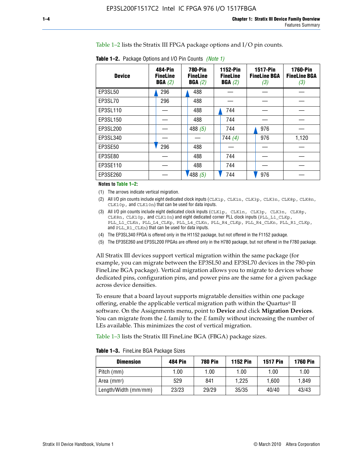Table 1–2 lists the Stratix III FPGA package options and I/O pin counts.

| <b>Device</b> | 484-Pin<br><b>FineLine</b><br>BGA(2) | <b>780-Pin</b><br><b>FineLine</b><br>BGA(2) | 1152-Pin<br><b>FineLine</b><br>BGA(2) | <b>1517-Pin</b><br><b>FineLine BGA</b><br>(3) | <b>1760-Pin</b><br><b>FineLine BGA</b><br>(3) |
|---------------|--------------------------------------|---------------------------------------------|---------------------------------------|-----------------------------------------------|-----------------------------------------------|
| EP3SL50       | 296                                  | 488                                         |                                       |                                               |                                               |
| EP3SL70       | 296                                  | 488                                         |                                       |                                               |                                               |
| EP3SL110      |                                      | 488                                         | 744                                   |                                               |                                               |
| EP3SL150      |                                      | 488                                         | 744                                   |                                               |                                               |
| EP3SL200      |                                      | 488 $(5)$                                   | 744                                   | 976                                           |                                               |
| EP3SL340      |                                      |                                             | 744(4)                                | 976                                           | 1,120                                         |
| EP3SE50       | 296                                  | 488                                         |                                       |                                               |                                               |
| EP3SE80       |                                      | 488                                         | 744                                   |                                               |                                               |
| EP3SE110      |                                      | 488                                         | 744                                   |                                               |                                               |
| EP3SE260      |                                      | '488(5)                                     | 744                                   | 976                                           |                                               |

**Table 1–2.** Package Options and I/O Pin Counts *(Note 1)*

**Notes to Table 1–2:**

(1) The arrows indicate vertical migration.

- (2) All I/O pin counts include eight dedicated clock inputs (CLK1p, CLK1n, CLK3p, CLK3n, CLK8p, CLK8n, CLK10p, and CLK10n) that can be used for data inputs.
- (3) All I/O pin counts include eight dedicated clock inputs (CLK1p, CLK1n, CLK3p, CLK3n, CLK8p, CLK8n, CLK10p, and CLK10n) and eight dedicated corner PLL clock inputs (PLL\_L1\_CLKp, PLL\_L1\_CLKn, PLL\_L4\_CLKp, PLL\_L4\_CLKn, PLL\_R4\_CLKp, PLL\_R4\_CLKn, PLL\_R1\_CLKp, and PLL\_R1\_CLKn) that can be used for data inputs.
- (4) The EP3SL340 FPGA is offered only in the H1152 package, but not offered in the F1152 package.
- (5) The EP3SE260 and EP3SL200 FPGAs are offered only in the H780 package, but not offered in the F780 package.

All Stratix III devices support vertical migration within the same package (for example, you can migrate between the EP3SL50 and EP3SL70 devices in the 780-pin FineLine BGA package). Vertical migration allows you to migrate to devices whose dedicated pins, configuration pins, and power pins are the same for a given package across device densities.

To ensure that a board layout supports migratable densities within one package offering, enable the applicable vertical migration path within the Quartus® II software. On the Assignments menu, point to **Device** and click **Migration Devices**. You can migrate from the *L* family to the *E* family without increasing the number of LEs available. This minimizes the cost of vertical migration.

Table 1–3 lists the Stratix III FineLine BGA (FBGA) package sizes.

**Table 1–3.** FineLine BGA Package Sizes

| <b>Dimension</b>        | <b>484 Pin</b> | <b>780 Pin</b> | <b>1152 Pin</b> | <b>1517 Pin</b> | <b>1760 Pin</b> |
|-------------------------|----------------|----------------|-----------------|-----------------|-----------------|
| Pitch (mm)              | 1.00           | 1.00           | 1.00            | 1.00            | 1.00            |
| Area (mm <sup>2</sup> ) | 529            | 841            | 1.225           | 1.600           | 1.849           |
| Length/Width (mm/mm)    | 23/23          | 29/29          | 35/35           | 40/40           | 43/43           |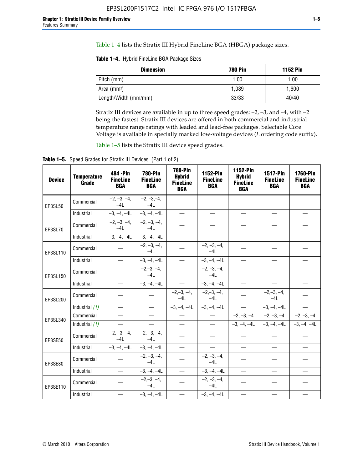Table 1–4 lists the Stratix III Hybrid FineLine BGA (HBGA) package sizes.

**Table 1–4.** Hybrid FineLine BGA Package Sizes

| <b>Dimension</b>     | <b>780 Pin</b> | <b>1152 Pin</b> |
|----------------------|----------------|-----------------|
| Pitch (mm)           | 1.00           | 1.00            |
| Area $(mm^2)$        | 1.089          | 1.600           |
| Length/Width (mm/mm) | 33/33          | 40/40           |

Stratix III devices are available in up to three speed grades: –2, –3, and –4, with –2 being the fastest. Stratix III devices are offered in both commercial and industrial temperature range ratings with leaded and lead-free packages. Selectable Core Voltage is available in specially marked low-voltage devices (*L* ordering code suffix).

Table 1–5 lists the Stratix III device speed grades.

Table 1-5. Speed Grades for Stratix III Devices (Part 1 of 2)

| <b>Device</b> | <b>Temperature</b><br>Grade | 484 - Pin<br><b>FineLine</b><br><b>BGA</b> | <b>780-Pin</b><br><b>FineLine</b><br><b>BGA</b> | <b>780-Pin</b><br><b>Hybrid</b><br><b>FineLine</b><br><b>BGA</b> | 1152-Pin<br><b>FineLine</b><br><b>BGA</b> | 1152-Pin<br><b>Hybrid</b><br><b>FineLine</b><br><b>BGA</b> | 1517-Pin<br><b>FineLine</b><br><b>BGA</b> | <b>1760-Pin</b><br><b>FineLine</b><br><b>BGA</b> |
|---------------|-----------------------------|--------------------------------------------|-------------------------------------------------|------------------------------------------------------------------|-------------------------------------------|------------------------------------------------------------|-------------------------------------------|--------------------------------------------------|
| EP3SL50       | Commercial                  | $-2, -3, -4,$<br>$-4L$                     | $-2, -3, -4,$<br>$-4L$                          |                                                                  |                                           |                                                            |                                           |                                                  |
|               | Industrial                  | $-3, -4, -4L$                              | $-3, -4, -4L$                                   | $\equiv$                                                         | $\equiv$                                  | $\overline{\phantom{0}}$                                   |                                           | $\overline{\phantom{0}}$                         |
| EP3SL70       | Commercial                  | $-2, -3, -4,$<br>$-4L$                     | $-2, -3, -4,$<br>$-41$                          |                                                                  |                                           |                                                            |                                           |                                                  |
|               | Industrial                  | $-3, -4, -4L$                              | $-3, -4, -4L$                                   | $\overbrace{\phantom{1232211}}$                                  |                                           | $\overline{\phantom{0}}$                                   | $\overline{\phantom{0}}$                  | $\overline{\phantom{0}}$                         |
| EP3SL110      | Commercial                  |                                            | $-2, -3, -4,$<br>$-4L$                          |                                                                  | $-2, -3, -4,$<br>$-4L$                    |                                                            |                                           |                                                  |
|               | Industrial                  | $\equiv$                                   | $-3, -4, -4L$                                   | $\frac{1}{1}$                                                    | $-3, -4, -4L$                             | $\frac{1}{2}$                                              |                                           | $\overline{\phantom{0}}$                         |
| EP3SL150      | Commercial                  |                                            | $-2, -3, -4,$<br>$-41$                          |                                                                  | $-2, -3, -4,$<br>$-41$                    |                                                            |                                           |                                                  |
|               | Industrial                  | $\overline{\phantom{m}}$                   | $-3, -4, -4L$                                   | $\equiv$                                                         | $-3, -4, -4L$                             | $\overline{\phantom{0}}$                                   |                                           | $\overbrace{\phantom{12322111}}$                 |
| EP3SL200      | Commercial                  |                                            |                                                 | $-2, -3, -4,$<br>$-4L$                                           | $-2, -3, -4,$<br>$-4L$                    |                                                            | $-2,-3,-4,$<br>$-4L$                      |                                                  |
|               | Industrial (1)              | $\equiv$                                   | $\equiv$                                        | $-3, -4, -4L$                                                    | $-3, -4, -4L$                             | $\equiv$                                                   | $-3, -4, -4L$                             | $\equiv$                                         |
| EP3SL340      | Commercial                  |                                            | $\equiv$                                        |                                                                  | $\overline{\phantom{m}}$                  |                                                            | $-2, -3, -4$ $-2, -3, -4$                 | $-2, -3, -4$                                     |
|               | Industrial (1)              |                                            | $\equiv$                                        | $\qquad \qquad -$                                                | $\overline{\phantom{0}}$                  |                                                            | $-3, -4, -4$ $-3, -4, -4$                 | $-3, -4, -4L$                                    |
| EP3SE50       | Commercial                  | $-2, -3, -4,$<br>$-4L$                     | $-2, -3, -4,$<br>$-4L$                          |                                                                  |                                           |                                                            |                                           |                                                  |
|               | Industrial                  | $-3, -4, -4L$                              | $-3, -4, -4L$                                   |                                                                  | $\overline{\phantom{0}}$                  |                                                            | $\overline{\phantom{0}}$                  | $\overline{\phantom{0}}$                         |
| EP3SE80       | Commercial                  |                                            | $-2, -3, -4,$<br>$-41$                          |                                                                  | $-2, -3, -4,$<br>$-4L$                    |                                                            |                                           |                                                  |
|               | Industrial                  | $\overline{\phantom{m}}$                   | $-3, -4, -4L$                                   |                                                                  | $-3, -4, -4L$                             |                                                            | $\equiv$                                  |                                                  |
| EP3SE110      | Commercial                  |                                            | $-2, -3, -4,$<br>$-4L$                          |                                                                  | $-2, -3, -4,$<br>$-4L$                    |                                                            |                                           |                                                  |
|               | Industrial                  |                                            | $-3, -4, -4L$                                   | $\equiv$                                                         | $-3, -4, -4L$                             |                                                            |                                           |                                                  |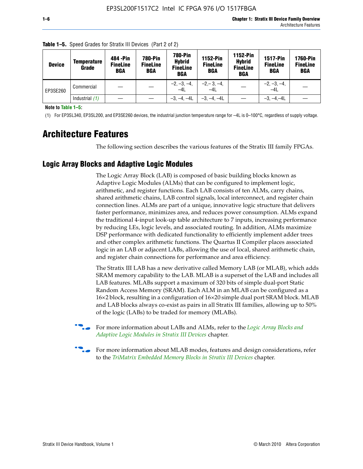| <b>Device</b> | <b>Temperature</b><br>Grade | 484 - Pin<br><b>FineLine</b><br><b>BGA</b> | <b>780-Pin</b><br><b>FineLine</b><br><b>BGA</b> | 780-Pin<br><b>Hybrid</b><br><b>FineLine</b><br><b>BGA</b> | <b>1152-Pin</b><br><b>FineLine</b><br><b>BGA</b> | <b>1152-Pin</b><br><b>Hybrid</b><br><b>FineLine</b><br><b>BGA</b> | <b>1517-Pin</b><br><b>FineLine</b><br>BGA | <b>1760-Pin</b><br><b>FineLine</b><br>BGA |
|---------------|-----------------------------|--------------------------------------------|-------------------------------------------------|-----------------------------------------------------------|--------------------------------------------------|-------------------------------------------------------------------|-------------------------------------------|-------------------------------------------|
| EP3SE260      | Commercial                  |                                            |                                                 | $-2, -3, -4,$<br>$-4L$                                    | $-2, -3, -4,$<br>$-4L$                           |                                                                   | $-2, -3, -4,$<br>$-4L$                    |                                           |
|               | Industrial $(1)$            |                                            |                                                 | $-3, -4, -4L$                                             | $-3, -4, -4L$                                    |                                                                   | $-3, -4, -4L$                             |                                           |

**Table 1–5.** Speed Grades for Stratix III Devices (Part 2 of 2)

**Note to Table 1–5:**

(1) For EP3SL340, EP3SL200, and EP3SE260 devices, the industrial junction temperature range for –4L is 0–100°C, regardless of supply voltage.

# **Architecture Features**

The following section describes the various features of the Stratix III family FPGAs.

## **Logic Array Blocks and Adaptive Logic Modules**

The Logic Array Block (LAB) is composed of basic building blocks known as Adaptive Logic Modules (ALMs) that can be configured to implement logic, arithmetic, and register functions. Each LAB consists of ten ALMs, carry chains, shared arithmetic chains, LAB control signals, local interconnect, and register chain connection lines. ALMs are part of a unique, innovative logic structure that delivers faster performance, minimizes area, and reduces power consumption. ALMs expand the traditional 4-input look-up table architecture to 7 inputs, increasing performance by reducing LEs, logic levels, and associated routing. In addition, ALMs maximize DSP performance with dedicated functionality to efficiently implement adder trees and other complex arithmetic functions. The Quartus II Compiler places associated logic in an LAB or adjacent LABs, allowing the use of local, shared arithmetic chain, and register chain connections for performance and area efficiency.

The Stratix III LAB has a new derivative called Memory LAB (or MLAB), which adds SRAM memory capability to the LAB. MLAB is a superset of the LAB and includes all LAB features. MLABs support a maximum of 320 bits of simple dual-port Static Random Access Memory (SRAM). Each ALM in an MLAB can be configured as a 16×2 block, resulting in a configuration of 16×20 simple dual port SRAM block. MLAB and LAB blocks always co-exist as pairs in all Stratix III families, allowing up to 50% of the logic (LABs) to be traded for memory (MLABs).



f For more information about LABs and ALMs, refer to the *[Logic Array Blocks and](http://www.altera.com/literature/hb/stx3/stx3_siii51002.pdf)  [Adaptive Logic Modules in Stratix III Devices](http://www.altera.com/literature/hb/stx3/stx3_siii51002.pdf)* chapter.



For more information about MLAB modes, features and design considerations, refer to the *[TriMatrix Embedded Memory Blocks in Stratix III Devices](http://www.altera.com/literature/hb/stx3/stx3_siii51004.pdf)* chapter.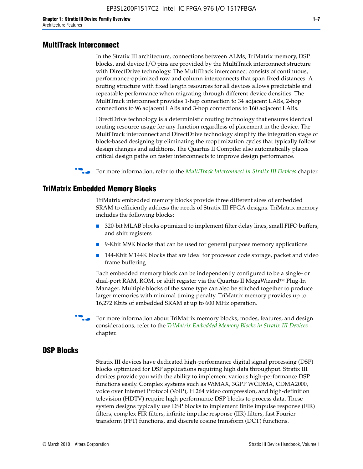#### **MultiTrack Interconnect**

In the Stratix III architecture, connections between ALMs, TriMatrix memory, DSP blocks, and device I/O pins are provided by the MultiTrack interconnect structure with DirectDrive technology. The MultiTrack interconnect consists of continuous, performance-optimized row and column interconnects that span fixed distances. A routing structure with fixed length resources for all devices allows predictable and repeatable performance when migrating through different device densities. The MultiTrack interconnect provides 1-hop connection to 34 adjacent LABs, 2-hop connections to 96 adjacent LABs and 3-hop connections to 160 adjacent LABs.

DirectDrive technology is a deterministic routing technology that ensures identical routing resource usage for any function regardless of placement in the device. The MultiTrack interconnect and DirectDrive technology simplify the integration stage of block-based designing by eliminating the reoptimization cycles that typically follow design changes and additions. The Quartus II Compiler also automatically places critical design paths on faster interconnects to improve design performance.

#### **For more information, refer to the** *[MultiTrack Interconnect in Stratix III Devices](http://www.altera.com/literature/hb/stx3/stx3_siii51003.pdf)* **chapter.**

#### **TriMatrix Embedded Memory Blocks**

TriMatrix embedded memory blocks provide three different sizes of embedded SRAM to efficiently address the needs of Stratix III FPGA designs. TriMatrix memory includes the following blocks:

- 320-bit MLAB blocks optimized to implement filter delay lines, small FIFO buffers, and shift registers
- 9-Kbit M9K blocks that can be used for general purpose memory applications
- 144-Kbit M144K blocks that are ideal for processor code storage, packet and video frame buffering

Each embedded memory block can be independently configured to be a single- or dual-port RAM, ROM, or shift register via the Quartus II MegaWizard™ Plug-In Manager. Multiple blocks of the same type can also be stitched together to produce larger memories with minimal timing penalty. TriMatrix memory provides up to 16,272 Kbits of embedded SRAM at up to 600 MHz operation.

For more information about TriMatrix memory blocks, modes, features, and design considerations, refer to the *[TriMatrix Embedded Memory Blocks in Stratix III Devices](http://www.altera.com/literature/hb/stx3/stx3_siii51004.pdf)* chapter.

#### **DSP Blocks**

Stratix III devices have dedicated high-performance digital signal processing (DSP) blocks optimized for DSP applications requiring high data throughput. Stratix III devices provide you with the ability to implement various high-performance DSP functions easily. Complex systems such as WiMAX, 3GPP WCDMA, CDMA2000, voice over Internet Protocol (VoIP), H.264 video compression, and high-definition television (HDTV) require high-performance DSP blocks to process data. These system designs typically use DSP blocks to implement finite impulse response (FIR) filters, complex FIR filters, infinite impulse response (IIR) filters, fast Fourier transform (FFT) functions, and discrete cosine transform (DCT) functions.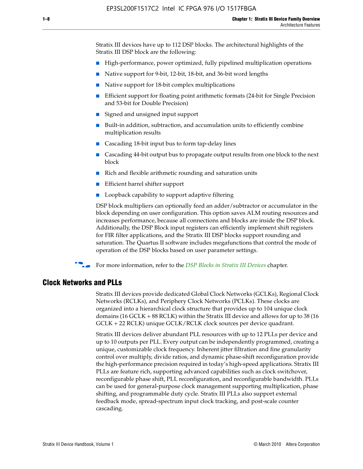Stratix III devices have up to 112 DSP blocks. The architectural highlights of the Stratix III DSP block are the following:

- High-performance, power optimized, fully pipelined multiplication operations
- Native support for 9-bit, 12-bit, 18-bit, and 36-bit word lengths
- Native support for 18-bit complex multiplications
- Efficient support for floating point arithmetic formats (24-bit for Single Precision and 53-bit for Double Precision)
- Signed and unsigned input support
- Built-in addition, subtraction, and accumulation units to efficiently combine multiplication results
- Cascading 18-bit input bus to form tap-delay lines
- Cascading 44-bit output bus to propagate output results from one block to the next block
- Rich and flexible arithmetic rounding and saturation units
- Efficient barrel shifter support
- Loopback capability to support adaptive filtering

DSP block multipliers can optionally feed an adder/subtractor or accumulator in the block depending on user configuration. This option saves ALM routing resources and increases performance, because all connections and blocks are inside the DSP block. Additionally, the DSP Block input registers can efficiently implement shift registers for FIR filter applications, and the Stratix III DSP blocks support rounding and saturation. The Quartus II software includes megafunctions that control the mode of operation of the DSP blocks based on user parameter settings.

f For more information, refer to the *[DSP Blocks in Stratix III Devices](http://www.altera.com/literature/hb/stx3/stx3_siii51005.pdf)* chapter.

#### **Clock Networks and PLLs**

Stratix III devices provide dedicated Global Clock Networks (GCLKs), Regional Clock Networks (RCLKs), and Periphery Clock Networks (PCLKs). These clocks are organized into a hierarchical clock structure that provides up to 104 unique clock domains (16 GCLK + 88 RCLK) within the Stratix III device and allows for up to 38 (16 GCLK + 22 RCLK) unique GCLK/RCLK clock sources per device quadrant.

Stratix III devices deliver abundant PLL resources with up to 12 PLLs per device and up to 10 outputs per PLL. Every output can be independently programmed, creating a unique, customizable clock frequency. Inherent jitter filtration and fine granularity control over multiply, divide ratios, and dynamic phase-shift reconfiguration provide the high-performance precision required in today's high-speed applications. Stratix III PLLs are feature rich, supporting advanced capabilities such as clock switchover, reconfigurable phase shift, PLL reconfiguration, and reconfigurable bandwidth. PLLs can be used for general-purpose clock management supporting multiplication, phase shifting, and programmable duty cycle. Stratix III PLLs also support external feedback mode, spread-spectrum input clock tracking, and post-scale counter cascading.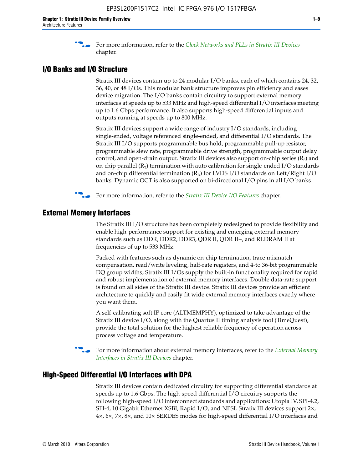f For more information, refer to the *[Clock Networks and PLLs in Stratix III Devices](http://www.altera.com/literature/hb/stx3/stx3_siii51006.pdf)* chapter.

#### **I/O Banks and I/O Structure**

Stratix III devices contain up to 24 modular I/O banks, each of which contains 24, 32, 36, 40, or 48 I/Os. This modular bank structure improves pin efficiency and eases device migration. The I/O banks contain circuitry to support external memory interfaces at speeds up to 533 MHz and high-speed differential I/O interfaces meeting up to 1.6 Gbps performance. It also supports high-speed differential inputs and outputs running at speeds up to 800 MHz.

Stratix III devices support a wide range of industry I/O standards, including single-ended, voltage referenced single-ended, and differential I/O standards. The Stratix III I/O supports programmable bus hold, programmable pull-up resistor, programmable slew rate, programmable drive strength, programmable output delay control, and open-drain output. Stratix III devices also support on-chip series  $(R<sub>s</sub>)$  and on-chip parallel  $(R_T)$  termination with auto calibration for single-ended I/O standards and on-chip differential termination  $(R_D)$  for LVDS I/O standards on Left/Right I/O banks. Dynamic OCT is also supported on bi-directional I/O pins in all I/O banks.

**For more information, refer to the** *[Stratix III Device I/O Features](http://www.altera.com/literature/hb/stx3/stx3_siii51007.pdf)* **chapter.** 

## **External Memory Interfaces**

The Stratix III I/O structure has been completely redesigned to provide flexibility and enable high-performance support for existing and emerging external memory standards such as DDR, DDR2, DDR3, QDR II, QDR II+, and RLDRAM II at frequencies of up to 533 MHz.

Packed with features such as dynamic on-chip termination, trace mismatch compensation, read/write leveling, half-rate registers, and 4-to 36-bit programmable DQ group widths, Stratix III I/Os supply the built-in functionality required for rapid and robust implementation of external memory interfaces. Double data-rate support is found on all sides of the Stratix III device. Stratix III devices provide an efficient architecture to quickly and easily fit wide external memory interfaces exactly where you want them.

A self-calibrating soft IP core (ALTMEMPHY), optimized to take advantage of the Stratix III device I/O, along with the Quartus II timing analysis tool (TimeQuest), provide the total solution for the highest reliable frequency of operation across process voltage and temperature.

f For more information about external memory interfaces, refer to the *[External Memory](http://www.altera.com/literature/hb/stx3/stx3_siii51008.pdf)  [Interfaces in Stratix III Devices](http://www.altera.com/literature/hb/stx3/stx3_siii51008.pdf)* chapter.

#### **High-Speed Differential I/O Interfaces with DPA**

Stratix III devices contain dedicated circuitry for supporting differential standards at speeds up to 1.6 Gbps. The high-speed differential I/O circuitry supports the following high-speed I/O interconnect standards and applications: Utopia IV, SPI-4.2, SFI-4, 10 Gigabit Ethernet XSBI, Rapid I/O, and NPSI. Stratix III devices support 2×, 4×, 6×, 7×, 8×, and 10× SERDES modes for high-speed differential I/O interfaces and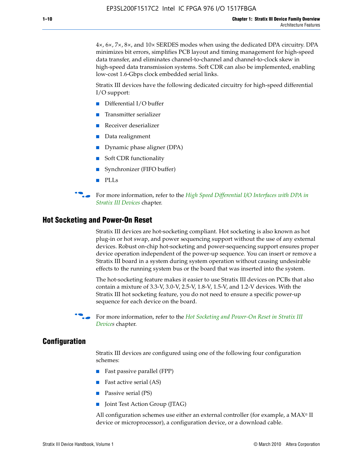4×, 6×, 7×, 8×, and 10× SERDES modes when using the dedicated DPA circuitry. DPA minimizes bit errors, simplifies PCB layout and timing management for high-speed data transfer, and eliminates channel-to-channel and channel-to-clock skew in high-speed data transmission systems. Soft CDR can also be implemented, enabling low-cost 1.6-Gbps clock embedded serial links.

Stratix III devices have the following dedicated circuitry for high-speed differential I/O support:

- Differential I/O buffer
- Transmitter serializer
- Receiver deserializer
- Data realignment
- Dynamic phase aligner (DPA)
- Soft CDR functionality
- Synchronizer (FIFO buffer)
- PLLs

**For more information, refer to the** *High Speed Differential I/O Interfaces with DPA in [Stratix III Devices](http://www.altera.com/literature/hb/stx3/stx3_siii51009.pdf)* chapter.

#### **Hot Socketing and Power-On Reset**

Stratix III devices are hot-socketing compliant. Hot socketing is also known as hot plug-in or hot swap, and power sequencing support without the use of any external devices. Robust on-chip hot-socketing and power-sequencing support ensures proper device operation independent of the power-up sequence. You can insert or remove a Stratix III board in a system during system operation without causing undesirable effects to the running system bus or the board that was inserted into the system.

The hot-socketing feature makes it easier to use Stratix III devices on PCBs that also contain a mixture of 3.3-V, 3.0-V, 2.5-V, 1.8-V, 1.5-V, and 1.2-V devices. With the Stratix III hot socketing feature, you do not need to ensure a specific power-up sequence for each device on the board.

f For more information, refer to the *[Hot Socketing and Power-On Reset in Stratix III](http://www.altera.com/literature/hb/stx3/stx3_siii51010.pdf)  [Device](http://www.altera.com/literature/hb/stx3/stx3_siii51010.pdf)s* chapter.

#### **Configuration**

Stratix III devices are configured using one of the following four configuration schemes:

- Fast passive parallel (FPP)
- Fast active serial (AS)
- Passive serial (PS)
- Joint Test Action Group (JTAG)

All configuration schemes use either an external controller (for example, a  $MAX<sup>®</sup>$  II device or microprocessor), a configuration device, or a download cable.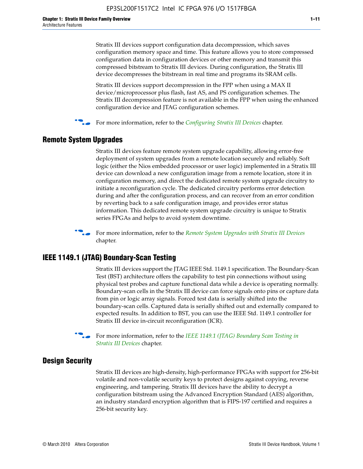Stratix III devices support configuration data decompression, which saves configuration memory space and time. This feature allows you to store compressed configuration data in configuration devices or other memory and transmit this compressed bitstream to Stratix III devices. During configuration, the Stratix III device decompresses the bitstream in real time and programs its SRAM cells.

Stratix III devices support decompression in the FPP when using a MAX II device/microprocessor plus flash, fast AS, and PS configuration schemes. The Stratix III decompression feature is not available in the FPP when using the enhanced configuration device and JTAG configuration schemes.

For more information, refer to the *[Configuring Stratix III Devices](http://www.altera.com/literature/hb/stx3/stx3_siii51011.pdf)* chapter.

## **Remote System Upgrades**

Stratix III devices feature remote system upgrade capability, allowing error-free deployment of system upgrades from a remote location securely and reliably. Soft logic (either the Nios embedded processor or user logic) implemented in a Stratix III device can download a new configuration image from a remote location, store it in configuration memory, and direct the dedicated remote system upgrade circuitry to initiate a reconfiguration cycle. The dedicated circuitry performs error detection during and after the configuration process, and can recover from an error condition by reverting back to a safe configuration image, and provides error status information. This dedicated remote system upgrade circuitry is unique to Stratix series FPGAs and helps to avoid system downtime.



**For more information, refer to the** *[Remote System Upgrades with Stratix III Devices](http://www.altera.com/literature/hb/stx3/stx3_siii51012.pdf)* chapter.

## **IEEE 1149.1 (JTAG) Boundary-Scan Testing**

Stratix III devices support the JTAG IEEE Std. 1149.1 specification. The Boundary-Scan Test (BST) architecture offers the capability to test pin connections without using physical test probes and capture functional data while a device is operating normally. Boundary-scan cells in the Stratix III device can force signals onto pins or capture data from pin or logic array signals. Forced test data is serially shifted into the boundary-scan cells. Captured data is serially shifted out and externally compared to expected results. In addition to BST, you can use the IEEE Std. 1149.1 controller for Stratix III device in-circuit reconfiguration (ICR).

For more information, refer to the *IEEE 1149.1 (JTAG) Boundary Scan Testing in [Stratix III Devices](http://www.altera.com/literature/hb/stx3/stx3_siii51013.pdf)* chapter.

## **Design Security**

Stratix III devices are high-density, high-performance FPGAs with support for 256-bit volatile and non-volatile security keys to protect designs against copying, reverse engineering, and tampering. Stratix III devices have the ability to decrypt a configuration bitstream using the Advanced Encryption Standard (AES) algorithm, an industry standard encryption algorithm that is FIPS-197 certified and requires a 256-bit security key.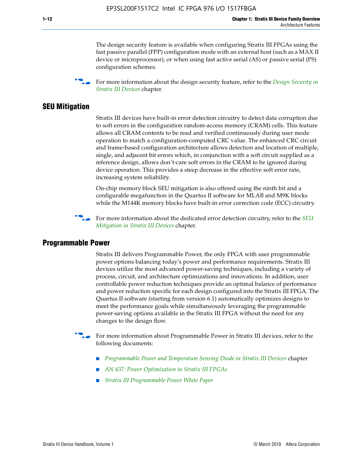The design security feature is available when configuring Stratix III FPGAs using the fast passive parallel (FPP) configuration mode with an external host (such as a MAX II device or microprocessor), or when using fast active serial (AS) or passive serial (PS) configuration schemes.

f For more information about the design security feature, refer to the *[Design Security in](http://www.altera.com/literature/hb/stx3/stx3_siii51014.pdf)  [Stratix III Devices](http://www.altera.com/literature/hb/stx3/stx3_siii51014.pdf)* chapter.

#### **SEU Mitigation**

Stratix III devices have built-in error detection circuitry to detect data corruption due to soft errors in the configuration random-access memory (CRAM) cells. This feature allows all CRAM contents to be read and verified continuously during user mode operation to match a configuration-computed CRC value. The enhanced CRC circuit and frame-based configuration architecture allows detection and location of multiple, single, and adjacent bit errors which, in conjunction with a soft circuit supplied as a reference design, allows don't-care soft errors in the CRAM to be ignored during device operation. This provides a steep decrease in the effective soft error rate, increasing system reliability.

On-chip memory block SEU mitigation is also offered using the ninth bit and a configurable megafunction in the Quartus II software for MLAB and M9K blocks while the M144K memory blocks have built-in error correction code (ECC) circuitry.

For more information about the dedicated error detection circuitry, refer to the *SEU [Mitigation in Stratix III Devices](http://www.altera.com/literature/hb/stx3/stx3_siii51015.pdf)* chapter.

#### **Programmable Power**

Stratix III delivers Programmable Power, the only FPGA with user programmable power options balancing today's power and performance requirements. Stratix III devices utilize the most advanced power-saving techniques, including a variety of process, circuit, and architecture optimizations and innovations. In addition, user controllable power reduction techniques provide an optimal balance of performance and power reduction specific for each design configured into the Stratix III FPGA. The Quartus II software (starting from version 6.1) automatically optimizes designs to meet the performance goals while simultaneously leveraging the programmable power-saving options available in the Stratix III FPGA without the need for any changes to the design flow.

For more information about Programmable Power in Stratix III devices, refer to the following documents:

- *[Programmable Power and Temperature Sensing Diode in Stratix III Devices](http://www.altera.com/literature/hb/stx3/stx3_siii51016.pdf)* chapter
- *[AN 437: Power Optimization in Stratix III FPGAs](http://www.altera.com/literature/an/AN437.pdf)*
- *[Stratix III Programmable Power White Paper](http://www.altera.com/literature/wp/wp-01006.pdf)*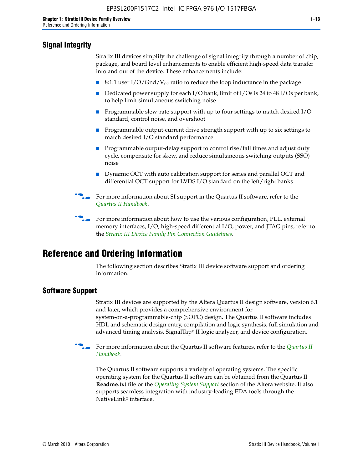# **Signal Integrity**

Stratix III devices simplify the challenge of signal integrity through a number of chip, package, and board level enhancements to enable efficient high-speed data transfer into and out of the device. These enhancements include:

- 8:1:1 user I/O/Gnd/V<sub>cc</sub> ratio to reduce the loop inductance in the package
- Dedicated power supply for each I/O bank, limit of I/Os is 24 to 48 I/Os per bank, to help limit simultaneous switching noise
- Programmable slew-rate support with up to four settings to match desired I/O standard, control noise, and overshoot
- Programmable output-current drive strength support with up to six settings to match desired I/O standard performance
- Programmable output-delay support to control rise/fall times and adjust duty cycle, compensate for skew, and reduce simultaneous switching outputs (SSO) noise
- Dynamic OCT with auto calibration support for series and parallel OCT and differential OCT support for LVDS I/O standard on the left/right banks
- For mor[e](http://www.altera.com/literature/hb/qts/quartusii_handbook.pdf) information about SI support in the Quartus II software, refer to the *[Quartus II Handbook](http://www.altera.com/literature/hb/qts/quartusii_handbook.pdf)*.

For more information about how to use the various configuration, PLL, external memory interfaces, I/O, high-speed differential I/O, power, and JTAG pins, refer to the *[Stratix III Device Family Pin Connection Guidelines](http://www.altera.com/literature/dp/stx3/PCG-01004.pdf)*.

# **Reference and Ordering Information**

The following section describes Stratix III device software support and ordering information.

## **Software Support**

Stratix III devices are supported by the Altera Quartus II design software, version 6.1 and later, which provides a comprehensive environment for system-on-a-programmable-chip (SOPC) design. The Quartus II software includes HDL and schematic design entry, compilation and logic synthesis, full simulation and advanced timing analysis, SignalTap® II logic analyzer, and device configuration.

**For more information about the [Quartus II](http://www.altera.com/literature/hb/qts/quartusii_handbook.pdf) software features, refer to the** *Quartus II* **<b>Fig. 7** *[Handbook](http://www.altera.com/literature/hb/qts/quartusii_handbook.pdf)*.

The Quartus II software supports a variety of operating systems. The specific operating system for the Quartus II software can be obtained from the Quartus II **Readme.txt** file or the *[Operating System Support](http://www.altera.com/support/software/os_support/oss-index.html)* section of the Altera website. It also supports seamless integration with industry-leading EDA tools through the NativeLink® interface.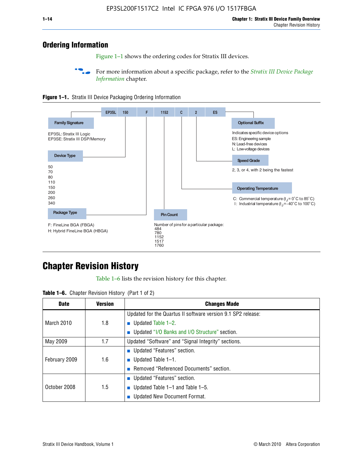# **Ordering Information**

Figure 1–1 shows the ordering codes for Stratix III devices.

For more information about a specific package, refer to the *Stratix III Device Package [Information](http://www.altera.com/literature/hb/stx3/stx3_siii51017.pdf)* chapter.





# **[C](http://www.altera.com/literature/hb/stx3/stx3_siii51012.pdf)hapter Revision History**

Table 1–6 lists the revision history for this chapter.

| <b>Table 1–6.</b> Chapter Revision History (Part 1 of 2) |  |  |  |  |  |
|----------------------------------------------------------|--|--|--|--|--|
|----------------------------------------------------------|--|--|--|--|--|

| <b>Date</b>       | <b>Version</b> | <b>Changes Made</b>                                          |
|-------------------|----------------|--------------------------------------------------------------|
|                   |                | Updated for the Quartus II software version 9.1 SP2 release: |
| <b>March 2010</b> | 1.8            | <b>u</b> Updated Table $1-2$ .                               |
|                   |                | ■ Updated "I/O Banks and I/O Structure" section.             |
| May 2009          | 1.7            | Updated "Software" and "Signal Integrity" sections.          |
|                   |                | Updated "Features" section.                                  |
| February 2009     | 1.6            | <b>u</b> Updated Table $1-1$ .                               |
|                   |                | Removed "Referenced Documents" section.                      |
|                   |                | ■ Updated "Features" section.                                |
| October 2008      | 1.5            | ■ Updated Table 1–1 and Table 1–5.                           |
|                   |                | Updated New Document Format.                                 |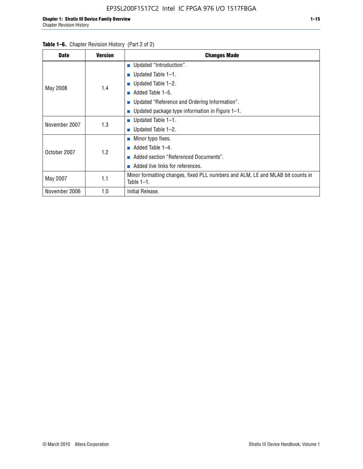| <b>Date</b>   | <b>Version</b> | <b>Changes Made</b>                                                                             |
|---------------|----------------|-------------------------------------------------------------------------------------------------|
|               |                | <b>Updated "Introduction".</b>                                                                  |
|               |                | $\blacksquare$ Updated Table 1-1.                                                               |
|               | 1.4            | <b>Updated Table 1–2.</b>                                                                       |
| May 2008      |                | Added Table 1-5.                                                                                |
|               |                | ■ Updated "Reference and Ordering Information".                                                 |
|               |                | Updated package type information in Figure 1-1.                                                 |
| November 2007 | 1.3            | $\blacksquare$ Updated Table 1-1.                                                               |
|               |                | ■ Updated Table $1-2$ .                                                                         |
|               |                | $\blacksquare$ Minor typo fixes.                                                                |
| October 2007  | 1.2            | Added Table 1-4.<br><b>COL</b>                                                                  |
|               |                | Added section "Referenced Documents".                                                           |
|               |                | Added live links for references.                                                                |
| May 2007      | 1.1            | Minor formatting changes, fixed PLL numbers and ALM, LE and MLAB bit counts in<br>Table $1-1$ . |
| November 2006 | 1.0            | Initial Release.                                                                                |